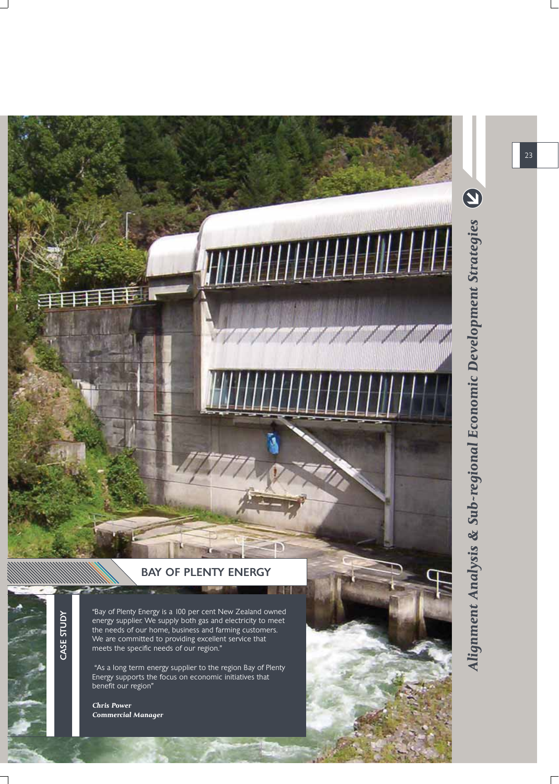

CASE STUDY CASE STUDY

"Bay of Plenty Energy is a 100 per cent New Zealand owned energy supplier. We supply both gas and electricity to meet the needs of our home, business and farming customers. We are committed to providing excellent service that meets the specific needs of our region."

 "As a long term energy supplier to the region Bay of Plenty Energy supports the focus on economic initiatives that benefit our region"

*Chris Power Commercial Manager* Alignment Analysis & Sub-regional Economic Development Strategies (2) *Alignment Analysis & Sub-regional Economic Development Strategies*

**TANAN MANAGEMENT** 

23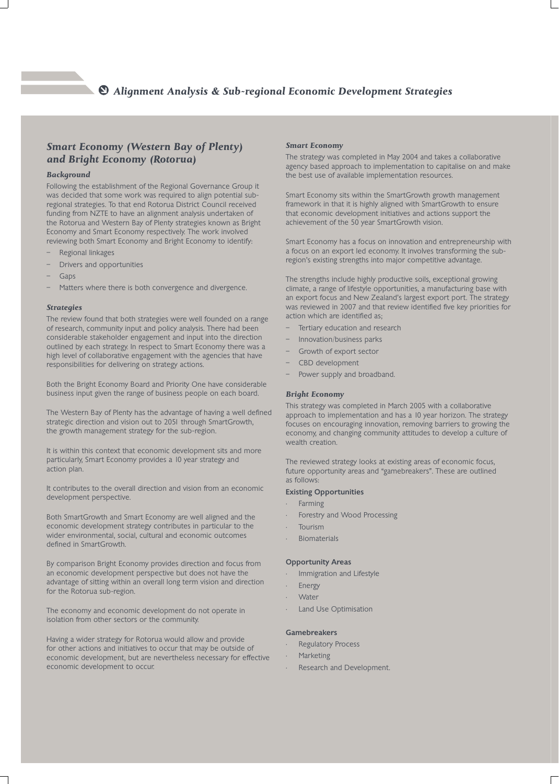# *Alignment Analysis & Sub-regional Economic Development Strategies*

## *Smart Economy (Western Bay of Plenty) and Bright Economy (Rotorua)*

## *Background*

Following the establishment of the Regional Governance Group it was decided that some work was required to align potential subregional strategies. To that end Rotorua District Council received funding from NZTE to have an alignment analysis undertaken of the Rotorua and Western Bay of Plenty strategies known as Bright Economy and Smart Economy respectively. The work involved reviewing both Smart Economy and Bright Economy to identify:

- Regional linkages
- Drivers and opportunities
- Gaps
- Matters where there is both convergence and divergence.

#### *Strategies*

The review found that both strategies were well founded on a range of research, community input and policy analysis. There had been considerable stakeholder engagement and input into the direction outlined by each strategy. In respect to Smart Economy there was a high level of collaborative engagement with the agencies that have responsibilities for delivering on strategy actions.

Both the Bright Economy Board and Priority One have considerable business input given the range of business people on each board.

The Western Bay of Plenty has the advantage of having a well defined strategic direction and vision out to 2051 through SmartGrowth, the growth management strategy for the sub-region.

It is within this context that economic development sits and more particularly, Smart Economy provides a 10 year strategy and action plan.

It contributes to the overall direction and vision from an economic development perspective.

Both SmartGrowth and Smart Economy are well aligned and the economic development strategy contributes in particular to the wider environmental, social, cultural and economic outcomes defined in SmartGrowth.

By comparison Bright Economy provides direction and focus from an economic development perspective but does not have the advantage of sitting within an overall long term vision and direction for the Rotorua sub-region.

The economy and economic development do not operate in isolation from other sectors or the community.

Having a wider strategy for Rotorua would allow and provide for other actions and initiatives to occur that may be outside of economic development, but are nevertheless necessary for effective economic development to occur.

### *Smart Economy*

The strategy was completed in May 2004 and takes a collaborative agency based approach to implementation to capitalise on and make the best use of available implementation resources.

Smart Economy sits within the SmartGrowth growth management framework in that it is highly aligned with SmartGrowth to ensure that economic development initiatives and actions support the achievement of the 50 year SmartGrowth vision.

Smart Economy has a focus on innovation and entrepreneurship with a focus on an export led economy. It involves transforming the subregion's existing strengths into major competitive advantage.

The strengths include highly productive soils, exceptional growing climate, a range of lifestyle opportunities, a manufacturing base with an export focus and New Zealand's largest export port. The strategy was reviewed in 2007 and that review identified five key priorities for action which are identified as;

- Tertiary education and research
- Innovation/business parks
- Growth of export sector
- CBD development
- Power supply and broadband.

## *Bright Economy*

This strategy was completed in March 2005 with a collaborative approach to implementation and has a 10 year horizon. The strategy focuses on encouraging innovation, removing barriers to growing the economy, and changing community attitudes to develop a culture of wealth creation.

The reviewed strategy looks at existing areas of economic focus, future opportunity areas and "gamebreakers". These are outlined as follows:

## Existing Opportunities

- Farming
- Forestry and Wood Processing
- **Tourism**
- **Biomaterials**

## Opportunity Areas

- Immigration and Lifestyle
- **Energy**
- Water
- Land Use Optimisation

#### Gamebreakers

- **Regulatory Process**
- **Marketing**
- Research and Development.